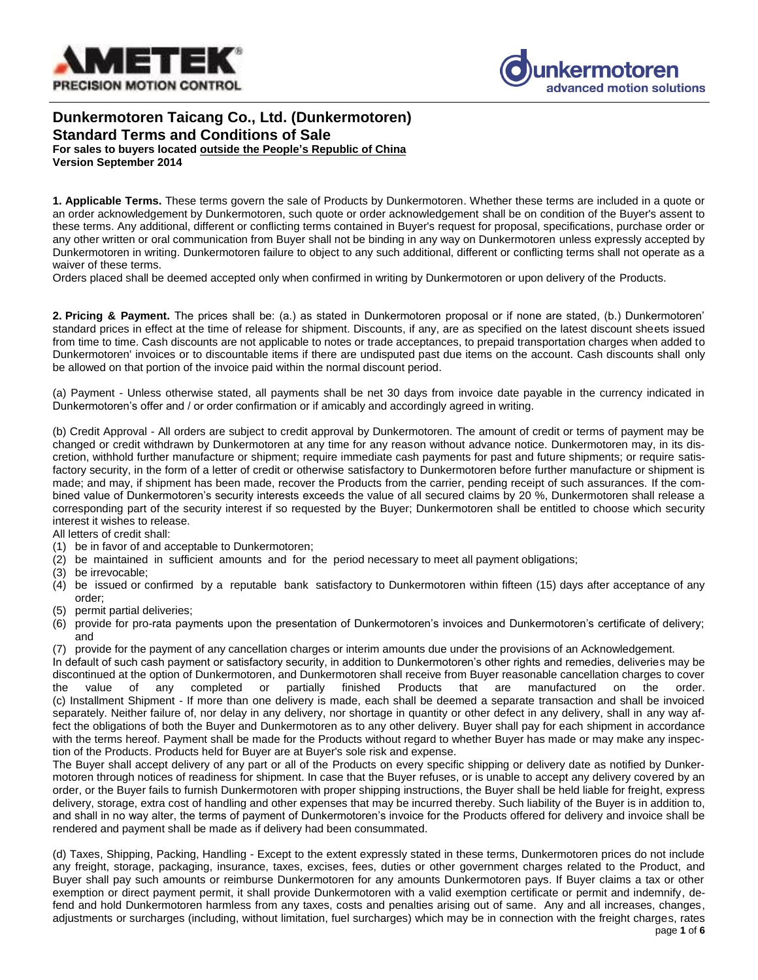



# **Dunkermotoren Taicang Co., Ltd. (Dunkermotoren) Standard Terms and Conditions of Sale For sales to buyers located outside the People's Republic of China Version September 2014**

**1. Applicable Terms.** These terms govern the sale of Products by Dunkermotoren. Whether these terms are included in a quote or an order acknowledgement by Dunkermotoren, such quote or order acknowledgement shall be on condition of the Buyer's assent to these terms. Any additional, different or conflicting terms contained in Buyer's request for proposal, specifications, purchase order or any other written or oral communication from Buyer shall not be binding in any way on Dunkermotoren unless expressly accepted by Dunkermotoren in writing. Dunkermotoren failure to object to any such additional, different or conflicting terms shall not operate as a waiver of these terms.

Orders placed shall be deemed accepted only when confirmed in writing by Dunkermotoren or upon delivery of the Products.

**2. Pricing & Payment.** The prices shall be: (a.) as stated in Dunkermotoren proposal or if none are stated, (b.) Dunkermotoren' standard prices in effect at the time of release for shipment. Discounts, if any, are as specified on the latest discount sheets issued from time to time. Cash discounts are not applicable to notes or trade acceptances, to prepaid transportation charges when added to Dunkermotoren' invoices or to discountable items if there are undisputed past due items on the account. Cash discounts shall only be allowed on that portion of the invoice paid within the normal discount period.

(a) Payment - Unless otherwise stated, all payments shall be net 30 days from invoice date payable in the currency indicated in Dunkermotoren's offer and / or order confirmation or if amicably and accordingly agreed in writing.

(b) Credit Approval - All orders are subject to credit approval by Dunkermotoren. The amount of credit or terms of payment may be changed or credit withdrawn by Dunkermotoren at any time for any reason without advance notice. Dunkermotoren may, in its discretion, withhold further manufacture or shipment; require immediate cash payments for past and future shipments; or require satisfactory security, in the form of a letter of credit or otherwise satisfactory to Dunkermotoren before further manufacture or shipment is made; and may, if shipment has been made, recover the Products from the carrier, pending receipt of such assurances. If the combined value of Dunkermotoren's security interests exceeds the value of all secured claims by 20 %, Dunkermotoren shall release a corresponding part of the security interest if so requested by the Buyer; Dunkermotoren shall be entitled to choose which security interest it wishes to release.

All letters of credit shall:

- (1) be in favor of and acceptable to Dunkermotoren;
- (2) be maintained in sufficient amounts and for the period necessary to meet all payment obligations;
- (3) be irrevocable;
- (4) be issued or confirmed by a reputable bank satisfactory to Dunkermotoren within fifteen (15) days after acceptance of any order;
- (5) permit partial deliveries;
- (6) provide for pro-rata payments upon the presentation of Dunkermotoren's invoices and Dunkermotoren's certificate of delivery; and

(7) provide for the payment of any cancellation charges or interim amounts due under the provisions of an Acknowledgement.

In default of such cash payment or satisfactory security, in addition to Dunkermotoren's other rights and remedies, deliveries may be discontinued at the option of Dunkermotoren, and Dunkermotoren shall receive from Buyer reasonable cancellation charges to cover<br>the value of any completed or partially finished Products that are manufactured on the order. the value of any completed or partially finished Products that are manufactured on the order. (c) Installment Shipment - If more than one delivery is made, each shall be deemed a separate transaction and shall be invoiced separately. Neither failure of, nor delay in any delivery, nor shortage in quantity or other defect in any delivery, shall in any way affect the obligations of both the Buyer and Dunkermotoren as to any other delivery. Buyer shall pay for each shipment in accordance with the terms hereof. Payment shall be made for the Products without regard to whether Buyer has made or may make any inspection of the Products. Products held for Buyer are at Buyer's sole risk and expense.

The Buyer shall accept delivery of any part or all of the Products on every specific shipping or delivery date as notified by Dunkermotoren through notices of readiness for shipment. In case that the Buyer refuses, or is unable to accept any delivery covered by an order, or the Buyer fails to furnish Dunkermotoren with proper shipping instructions, the Buyer shall be held liable for freight, express delivery, storage, extra cost of handling and other expenses that may be incurred thereby. Such liability of the Buyer is in addition to, and shall in no way alter, the terms of payment of Dunkermotoren's invoice for the Products offered for delivery and invoice shall be rendered and payment shall be made as if delivery had been consummated.

(d) Taxes, Shipping, Packing, Handling - Except to the extent expressly stated in these terms, Dunkermotoren prices do not include any freight, storage, packaging, insurance, taxes, excises, fees, duties or other government charges related to the Product, and Buyer shall pay such amounts or reimburse Dunkermotoren for any amounts Dunkermotoren pays. If Buyer claims a tax or other exemption or direct payment permit, it shall provide Dunkermotoren with a valid exemption certificate or permit and indemnify, defend and hold Dunkermotoren harmless from any taxes, costs and penalties arising out of same. Any and all increases, changes, adjustments or surcharges (including, without limitation, fuel surcharges) which may be in connection with the freight charges, rates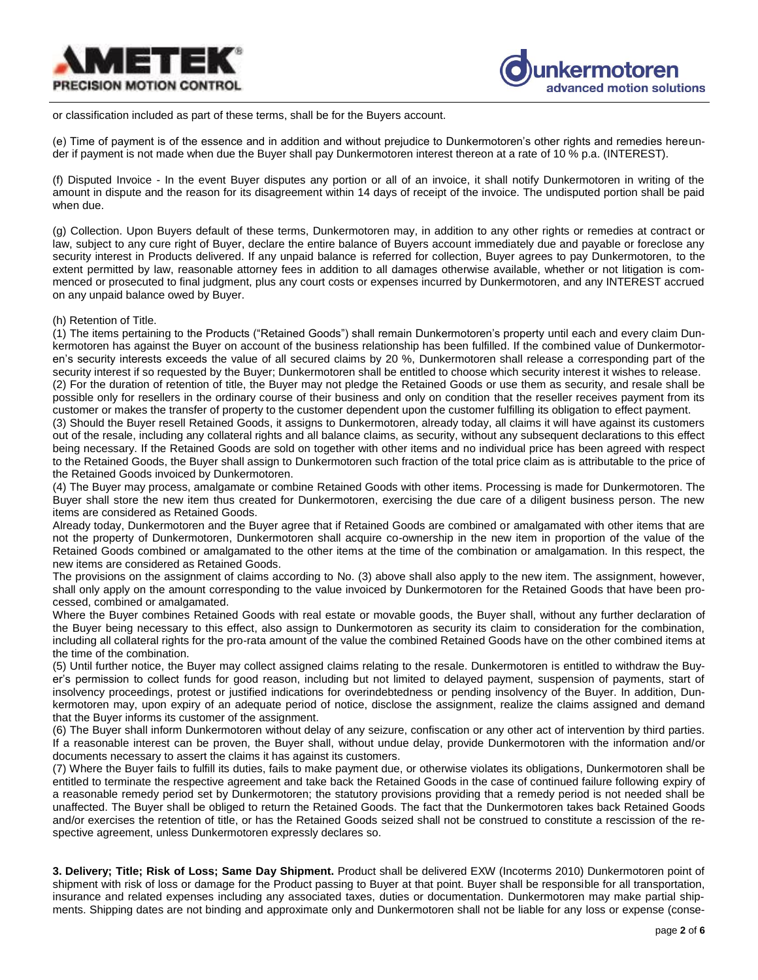



or classification included as part of these terms, shall be for the Buyers account.

(e) Time of payment is of the essence and in addition and without prejudice to Dunkermotoren's other rights and remedies hereunder if payment is not made when due the Buyer shall pay Dunkermotoren interest thereon at a rate of 10 % p.a. (INTEREST).

(f) Disputed Invoice - In the event Buyer disputes any portion or all of an invoice, it shall notify Dunkermotoren in writing of the amount in dispute and the reason for its disagreement within 14 days of receipt of the invoice. The undisputed portion shall be paid when due.

(g) Collection. Upon Buyers default of these terms, Dunkermotoren may, in addition to any other rights or remedies at contract or law, subject to any cure right of Buyer, declare the entire balance of Buyers account immediately due and payable or foreclose any security interest in Products delivered. If any unpaid balance is referred for collection, Buyer agrees to pay Dunkermotoren, to the extent permitted by law, reasonable attorney fees in addition to all damages otherwise available, whether or not litigation is commenced or prosecuted to final judgment, plus any court costs or expenses incurred by Dunkermotoren, and any INTEREST accrued on any unpaid balance owed by Buyer.

#### (h) Retention of Title.

(1) The items pertaining to the Products ("Retained Goods") shall remain Dunkermotoren's property until each and every claim Dunkermotoren has against the Buyer on account of the business relationship has been fulfilled. If the combined value of Dunkermotoren's security interests exceeds the value of all secured claims by 20 %, Dunkermotoren shall release a corresponding part of the security interest if so requested by the Buyer; Dunkermotoren shall be entitled to choose which security interest it wishes to release.

(2) For the duration of retention of title, the Buyer may not pledge the Retained Goods or use them as security, and resale shall be possible only for resellers in the ordinary course of their business and only on condition that the reseller receives payment from its customer or makes the transfer of property to the customer dependent upon the customer fulfilling its obligation to effect payment.

(3) Should the Buyer resell Retained Goods, it assigns to Dunkermotoren, already today, all claims it will have against its customers out of the resale, including any collateral rights and all balance claims, as security, without any subsequent declarations to this effect being necessary. If the Retained Goods are sold on together with other items and no individual price has been agreed with respect to the Retained Goods, the Buyer shall assign to Dunkermotoren such fraction of the total price claim as is attributable to the price of the Retained Goods invoiced by Dunkermotoren.

(4) The Buyer may process, amalgamate or combine Retained Goods with other items. Processing is made for Dunkermotoren. The Buyer shall store the new item thus created for Dunkermotoren, exercising the due care of a diligent business person. The new items are considered as Retained Goods.

Already today, Dunkermotoren and the Buyer agree that if Retained Goods are combined or amalgamated with other items that are not the property of Dunkermotoren, Dunkermotoren shall acquire co-ownership in the new item in proportion of the value of the Retained Goods combined or amalgamated to the other items at the time of the combination or amalgamation. In this respect, the new items are considered as Retained Goods.

The provisions on the assignment of claims according to No. (3) above shall also apply to the new item. The assignment, however, shall only apply on the amount corresponding to the value invoiced by Dunkermotoren for the Retained Goods that have been processed, combined or amalgamated.

Where the Buyer combines Retained Goods with real estate or movable goods, the Buyer shall, without any further declaration of the Buyer being necessary to this effect, also assign to Dunkermotoren as security its claim to consideration for the combination, including all collateral rights for the pro-rata amount of the value the combined Retained Goods have on the other combined items at the time of the combination.

(5) Until further notice, the Buyer may collect assigned claims relating to the resale. Dunkermotoren is entitled to withdraw the Buyer's permission to collect funds for good reason, including but not limited to delayed payment, suspension of payments, start of insolvency proceedings, protest or justified indications for overindebtedness or pending insolvency of the Buyer. In addition, Dunkermotoren may, upon expiry of an adequate period of notice, disclose the assignment, realize the claims assigned and demand that the Buyer informs its customer of the assignment.

(6) The Buyer shall inform Dunkermotoren without delay of any seizure, confiscation or any other act of intervention by third parties. If a reasonable interest can be proven, the Buyer shall, without undue delay, provide Dunkermotoren with the information and/or documents necessary to assert the claims it has against its customers.

(7) Where the Buyer fails to fulfill its duties, fails to make payment due, or otherwise violates its obligations, Dunkermotoren shall be entitled to terminate the respective agreement and take back the Retained Goods in the case of continued failure following expiry of a reasonable remedy period set by Dunkermotoren; the statutory provisions providing that a remedy period is not needed shall be unaffected. The Buyer shall be obliged to return the Retained Goods. The fact that the Dunkermotoren takes back Retained Goods and/or exercises the retention of title, or has the Retained Goods seized shall not be construed to constitute a rescission of the respective agreement, unless Dunkermotoren expressly declares so.

**3. Delivery; Title; Risk of Loss; Same Day Shipment.** Product shall be delivered EXW (Incoterms 2010) Dunkermotoren point of shipment with risk of loss or damage for the Product passing to Buyer at that point. Buyer shall be responsible for all transportation, insurance and related expenses including any associated taxes, duties or documentation. Dunkermotoren may make partial shipments. Shipping dates are not binding and approximate only and Dunkermotoren shall not be liable for any loss or expense (conse-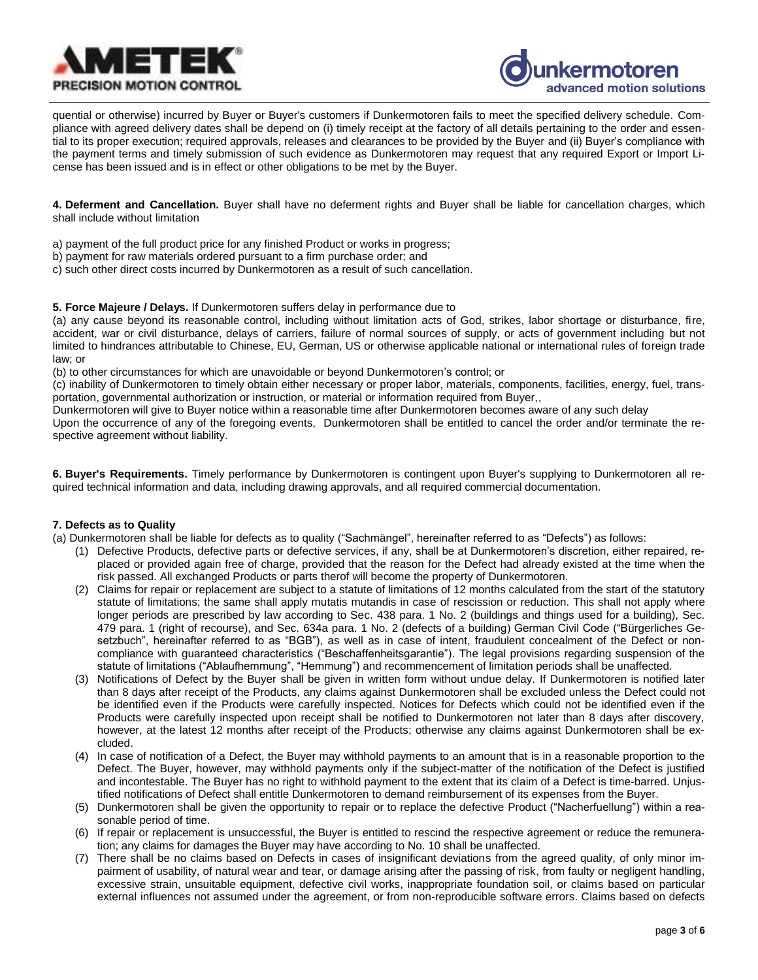



quential or otherwise) incurred by Buyer or Buyer's customers if Dunkermotoren fails to meet the specified delivery schedule. Compliance with agreed delivery dates shall be depend on (i) timely receipt at the factory of all details pertaining to the order and essential to its proper execution; required approvals, releases and clearances to be provided by the Buyer and (ii) Buyer's compliance with the payment terms and timely submission of such evidence as Dunkermotoren may request that any required Export or Import License has been issued and is in effect or other obligations to be met by the Buyer.

**4. Deferment and Cancellation.** Buyer shall have no deferment rights and Buyer shall be liable for cancellation charges, which shall include without limitation

- a) payment of the full product price for any finished Product or works in progress;
- b) payment for raw materials ordered pursuant to a firm purchase order; and
- c) such other direct costs incurred by Dunkermotoren as a result of such cancellation.

**5. Force Majeure / Delays.** If Dunkermotoren suffers delay in performance due to

(a) any cause beyond its reasonable control, including without limitation acts of God, strikes, labor shortage or disturbance, fire, accident, war or civil disturbance, delays of carriers, failure of normal sources of supply, or acts of government including but not limited to hindrances attributable to Chinese, EU, German, US or otherwise applicable national or international rules of foreign trade law; or

(b) to other circumstances for which are unavoidable or beyond Dunkermotoren's control; or

(c) inability of Dunkermotoren to timely obtain either necessary or proper labor, materials, components, facilities, energy, fuel, transportation, governmental authorization or instruction, or material or information required from Buyer,,

Dunkermotoren will give to Buyer notice within a reasonable time after Dunkermotoren becomes aware of any such delay

Upon the occurrence of any of the foregoing events, Dunkermotoren shall be entitled to cancel the order and/or terminate the respective agreement without liability.

**6. Buyer's Requirements.** Timely performance by Dunkermotoren is contingent upon Buyer's supplying to Dunkermotoren all required technical information and data, including drawing approvals, and all required commercial documentation.

## **7. Defects as to Quality**

(a) Dunkermotoren shall be liable for defects as to quality ("Sachmängel", hereinafter referred to as "Defects") as follows:

- (1) Defective Products, defective parts or defective services, if any, shall be at Dunkermotoren's discretion, either repaired, replaced or provided again free of charge, provided that the reason for the Defect had already existed at the time when the risk passed. All exchanged Products or parts therof will become the property of Dunkermotoren.
- (2) Claims for repair or replacement are subject to a statute of limitations of 12 months calculated from the start of the statutory statute of limitations; the same shall apply mutatis mutandis in case of rescission or reduction. This shall not apply where longer periods are prescribed by law according to Sec. 438 para. 1 No. 2 (buildings and things used for a building), Sec. 479 para. 1 (right of recourse), and Sec. 634a para. 1 No. 2 (defects of a building) German Civil Code ("Bürgerliches Gesetzbuch", hereinafter referred to as "BGB"), as well as in case of intent, fraudulent concealment of the Defect or noncompliance with guaranteed characteristics ("Beschaffenheitsgarantie"). The legal provisions regarding suspension of the statute of limitations ("Ablaufhemmung", "Hemmung") and recommencement of limitation periods shall be unaffected.
- (3) Notifications of Defect by the Buyer shall be given in written form without undue delay. If Dunkermotoren is notified later than 8 days after receipt of the Products, any claims against Dunkermotoren shall be excluded unless the Defect could not be identified even if the Products were carefully inspected. Notices for Defects which could not be identified even if the Products were carefully inspected upon receipt shall be notified to Dunkermotoren not later than 8 days after discovery, however, at the latest 12 months after receipt of the Products; otherwise any claims against Dunkermotoren shall be excluded.
- (4) In case of notification of a Defect, the Buyer may withhold payments to an amount that is in a reasonable proportion to the Defect. The Buyer, however, may withhold payments only if the subject-matter of the notification of the Defect is justified and incontestable. The Buyer has no right to withhold payment to the extent that its claim of a Defect is time-barred. Unjustified notifications of Defect shall entitle Dunkermotoren to demand reimbursement of its expenses from the Buyer.
- (5) Dunkermotoren shall be given the opportunity to repair or to replace the defective Product ("Nacherfuellung") within a reasonable period of time.
- (6) If repair or replacement is unsuccessful, the Buyer is entitled to rescind the respective agreement or reduce the remuneration; any claims for damages the Buyer may have according to No. 10 shall be unaffected.
- (7) There shall be no claims based on Defects in cases of insignificant deviations from the agreed quality, of only minor impairment of usability, of natural wear and tear, or damage arising after the passing of risk, from faulty or negligent handling, excessive strain, unsuitable equipment, defective civil works, inappropriate foundation soil, or claims based on particular external influences not assumed under the agreement, or from non-reproducible software errors. Claims based on defects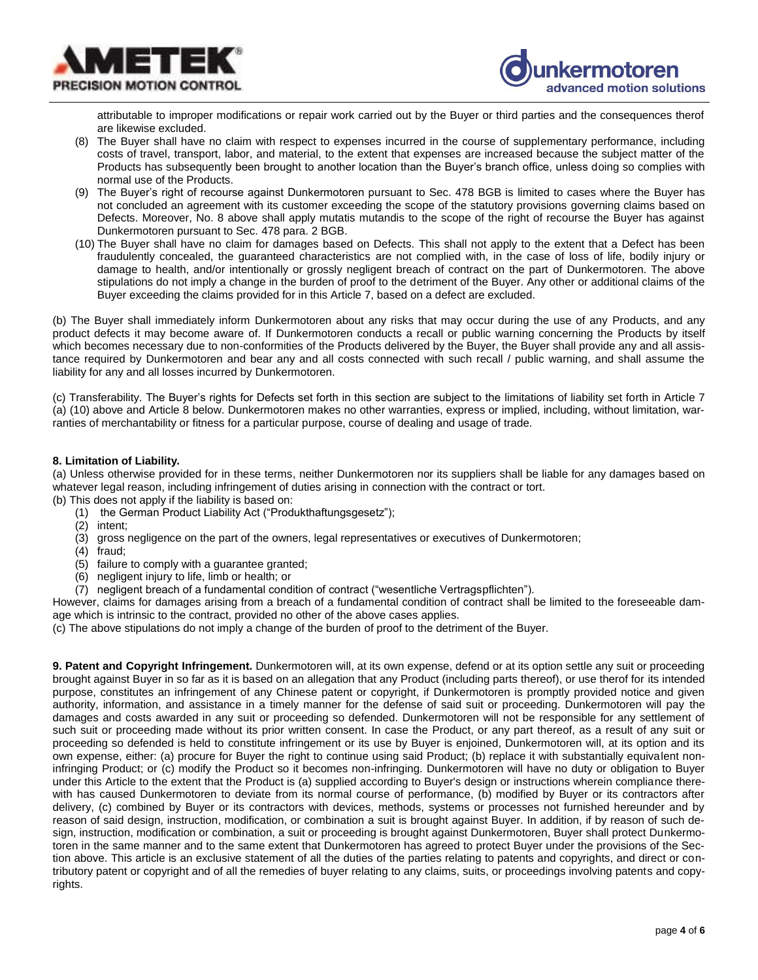



attributable to improper modifications or repair work carried out by the Buyer or third parties and the consequences therof are likewise excluded.

- (8) The Buyer shall have no claim with respect to expenses incurred in the course of supplementary performance, including costs of travel, transport, labor, and material, to the extent that expenses are increased because the subject matter of the Products has subsequently been brought to another location than the Buyer's branch office, unless doing so complies with normal use of the Products.
- (9) The Buyer's right of recourse against Dunkermotoren pursuant to Sec. 478 BGB is limited to cases where the Buyer has not concluded an agreement with its customer exceeding the scope of the statutory provisions governing claims based on Defects. Moreover, No. 8 above shall apply mutatis mutandis to the scope of the right of recourse the Buyer has against Dunkermotoren pursuant to Sec. 478 para. 2 BGB.
- (10) The Buyer shall have no claim for damages based on Defects. This shall not apply to the extent that a Defect has been fraudulently concealed, the guaranteed characteristics are not complied with, in the case of loss of life, bodily injury or damage to health, and/or intentionally or grossly negligent breach of contract on the part of Dunkermotoren. The above stipulations do not imply a change in the burden of proof to the detriment of the Buyer. Any other or additional claims of the Buyer exceeding the claims provided for in this Article 7, based on a defect are excluded.

(b) The Buyer shall immediately inform Dunkermotoren about any risks that may occur during the use of any Products, and any product defects it may become aware of. If Dunkermotoren conducts a recall or public warning concerning the Products by itself which becomes necessary due to non-conformities of the Products delivered by the Buyer, the Buyer shall provide any and all assistance required by Dunkermotoren and bear any and all costs connected with such recall / public warning, and shall assume the liability for any and all losses incurred by Dunkermotoren.

(c) Transferability. The Buyer's rights for Defects set forth in this section are subject to the limitations of liability set forth in Article 7 (a) (10) above and Article 8 below. Dunkermotoren makes no other warranties, express or implied, including, without limitation, warranties of merchantability or fitness for a particular purpose, course of dealing and usage of trade.

### **8. Limitation of Liability.**

(a) Unless otherwise provided for in these terms, neither Dunkermotoren nor its suppliers shall be liable for any damages based on whatever legal reason, including infringement of duties arising in connection with the contract or tort.

(b) This does not apply if the liability is based on:

- (1) the German Product Liability Act ("Produkthaftungsgesetz");
- (2) intent;
- (3) gross negligence on the part of the owners, legal representatives or executives of Dunkermotoren;
- (4) fraud;
- (5) failure to comply with a guarantee granted;
- (6) negligent injury to life, limb or health; or
- (7) negligent breach of a fundamental condition of contract ("wesentliche Vertragspflichten").

However, claims for damages arising from a breach of a fundamental condition of contract shall be limited to the foreseeable damage which is intrinsic to the contract, provided no other of the above cases applies.

(c) The above stipulations do not imply a change of the burden of proof to the detriment of the Buyer.

**9. Patent and Copyright Infringement.** Dunkermotoren will, at its own expense, defend or at its option settle any suit or proceeding brought against Buyer in so far as it is based on an allegation that any Product (including parts thereof), or use therof for its intended purpose, constitutes an infringement of any Chinese patent or copyright, if Dunkermotoren is promptly provided notice and given authority, information, and assistance in a timely manner for the defense of said suit or proceeding. Dunkermotoren will pay the damages and costs awarded in any suit or proceeding so defended. Dunkermotoren will not be responsible for any settlement of such suit or proceeding made without its prior written consent. In case the Product, or any part thereof, as a result of any suit or proceeding so defended is held to constitute infringement or its use by Buyer is enjoined, Dunkermotoren will, at its option and its own expense, either: (a) procure for Buyer the right to continue using said Product; (b) replace it with substantially equivalent noninfringing Product; or (c) modify the Product so it becomes non-infringing. Dunkermotoren will have no duty or obligation to Buyer under this Article to the extent that the Product is (a) supplied according to Buyer's design or instructions wherein compliance therewith has caused Dunkermotoren to deviate from its normal course of performance, (b) modified by Buyer or its contractors after delivery, (c) combined by Buyer or its contractors with devices, methods, systems or processes not furnished hereunder and by reason of said design, instruction, modification, or combination a suit is brought against Buyer. In addition, if by reason of such design, instruction, modification or combination, a suit or proceeding is brought against Dunkermotoren, Buyer shall protect Dunkermotoren in the same manner and to the same extent that Dunkermotoren has agreed to protect Buyer under the provisions of the Section above. This article is an exclusive statement of all the duties of the parties relating to patents and copyrights, and direct or contributory patent or copyright and of all the remedies of buyer relating to any claims, suits, or proceedings involving patents and copyrights.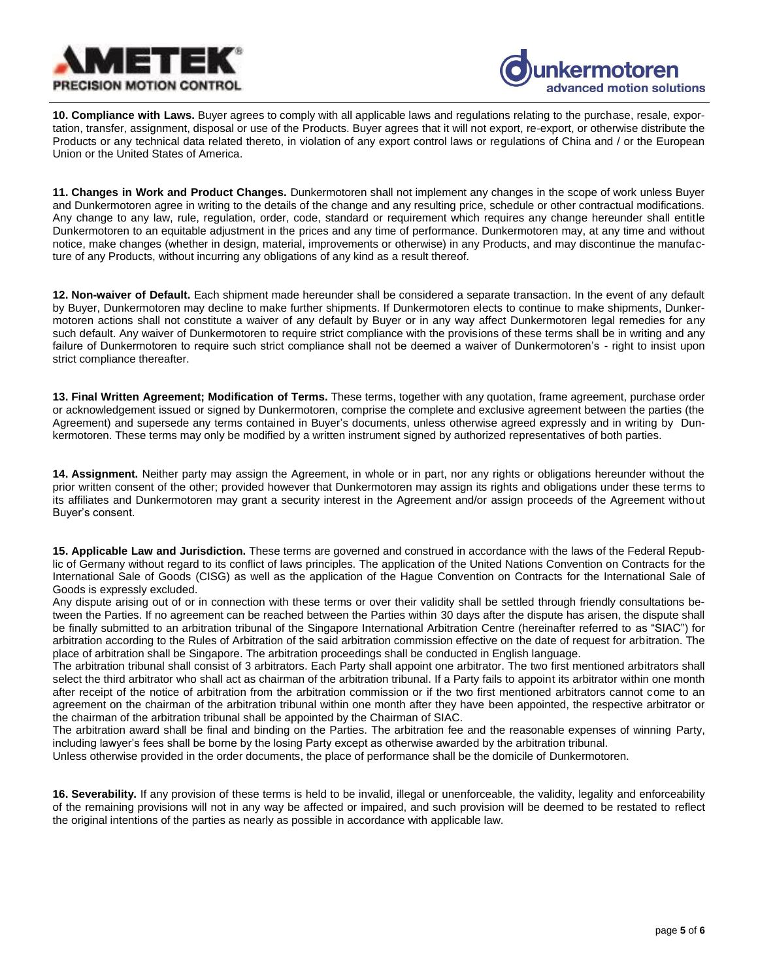



**10. Compliance with Laws.** Buyer agrees to comply with all applicable laws and regulations relating to the purchase, resale, exportation, transfer, assignment, disposal or use of the Products. Buyer agrees that it will not export, re-export, or otherwise distribute the Products or any technical data related thereto, in violation of any export control laws or regulations of China and / or the European Union or the United States of America.

**11. Changes in Work and Product Changes.** Dunkermotoren shall not implement any changes in the scope of work unless Buyer and Dunkermotoren agree in writing to the details of the change and any resulting price, schedule or other contractual modifications. Any change to any law, rule, regulation, order, code, standard or requirement which requires any change hereunder shall entitle Dunkermotoren to an equitable adjustment in the prices and any time of performance. Dunkermotoren may, at any time and without notice, make changes (whether in design, material, improvements or otherwise) in any Products, and may discontinue the manufacture of any Products, without incurring any obligations of any kind as a result thereof.

**12. Non-waiver of Default.** Each shipment made hereunder shall be considered a separate transaction. In the event of any default by Buyer, Dunkermotoren may decline to make further shipments. If Dunkermotoren elects to continue to make shipments, Dunkermotoren actions shall not constitute a waiver of any default by Buyer or in any way affect Dunkermotoren legal remedies for any such default. Any waiver of Dunkermotoren to require strict compliance with the provisions of these terms shall be in writing and any failure of Dunkermotoren to require such strict compliance shall not be deemed a waiver of Dunkermotoren's - right to insist upon strict compliance thereafter.

**13. Final Written Agreement; Modification of Terms.** These terms, together with any quotation, frame agreement, purchase order or acknowledgement issued or signed by Dunkermotoren, comprise the complete and exclusive agreement between the parties (the Agreement) and supersede any terms contained in Buyer's documents, unless otherwise agreed expressly and in writing by Dunkermotoren. These terms may only be modified by a written instrument signed by authorized representatives of both parties.

**14. Assignment.** Neither party may assign the Agreement, in whole or in part, nor any rights or obligations hereunder without the prior written consent of the other; provided however that Dunkermotoren may assign its rights and obligations under these terms to its affiliates and Dunkermotoren may grant a security interest in the Agreement and/or assign proceeds of the Agreement without Buyer's consent.

**15. Applicable Law and Jurisdiction.** These terms are governed and construed in accordance with the laws of the Federal Republic of Germany without regard to its conflict of laws principles. The application of the United Nations Convention on Contracts for the International Sale of Goods (CISG) as well as the application of the Hague Convention on Contracts for the International Sale of Goods is expressly excluded.

Any dispute arising out of or in connection with these terms or over their validity shall be settled through friendly consultations between the Parties. If no agreement can be reached between the Parties within 30 days after the dispute has arisen, the dispute shall be finally submitted to an arbitration tribunal of the Singapore International Arbitration Centre (hereinafter referred to as "SIAC") for arbitration according to the Rules of Arbitration of the said arbitration commission effective on the date of request for arbitration. The place of arbitration shall be Singapore. The arbitration proceedings shall be conducted in English language.

The arbitration tribunal shall consist of 3 arbitrators. Each Party shall appoint one arbitrator. The two first mentioned arbitrators shall select the third arbitrator who shall act as chairman of the arbitration tribunal. If a Party fails to appoint its arbitrator within one month after receipt of the notice of arbitration from the arbitration commission or if the two first mentioned arbitrators cannot come to an agreement on the chairman of the arbitration tribunal within one month after they have been appointed, the respective arbitrator or the chairman of the arbitration tribunal shall be appointed by the Chairman of SIAC.

The arbitration award shall be final and binding on the Parties. The arbitration fee and the reasonable expenses of winning Party, including lawyer's fees shall be borne by the losing Party except as otherwise awarded by the arbitration tribunal.

Unless otherwise provided in the order documents, the place of performance shall be the domicile of Dunkermotoren.

**16. Severability.** If any provision of these terms is held to be invalid, illegal or unenforceable, the validity, legality and enforceability of the remaining provisions will not in any way be affected or impaired, and such provision will be deemed to be restated to reflect the original intentions of the parties as nearly as possible in accordance with applicable law.